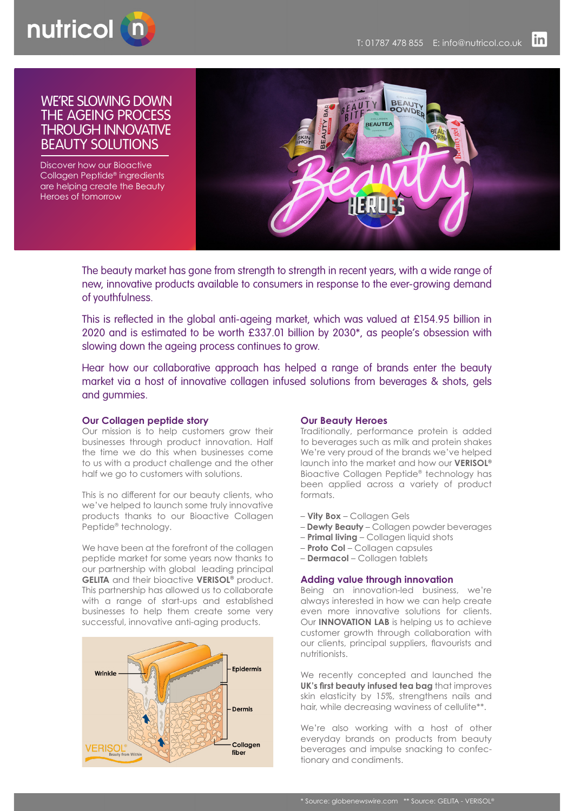

# WE'RE SLOWING DOWN THE AGEING PROCESS THROUGH INNOVATIVE BEAUTY SOLUTIONS

Discover how our Bioactive Collagen Peptide® ingredients are helping create the Beauty Heroes of tomorrow



The beauty market has gone from strength to strength in recent years, with a wide range of new, innovative products available to consumers in response to the ever-growing demand of youthfulness.

This is reflected in the global anti-ageing market, which was valued at £154.95 billion in 2020 and is estimated to be worth £337.01 billion by 2030\*, as people's obsession with slowing down the ageing process continues to grow.

Hear how our collaborative approach has helped a range of brands enter the beauty market via a host of innovative collagen infused solutions from beverages & shots, gels and gummies.

# **Our Collagen peptide story**

Our mission is to help customers grow their businesses through product innovation. Half the time we do this when businesses come to us with a product challenge and the other half we go to customers with solutions.

This is no different for our beauty clients, who we've helped to launch some truly innovative products thanks to our Bioactive Collagen Peptide® technology.

We have been at the forefront of the collagen peptide market for some years now thanks to our partnership with global leading principal **GELITA** and their bioactive **VERISOL®** product. This partnership has allowed us to collaborate with a range of start-ups and established businesses to help them create some very successful, innovative anti-aging products.



# **Our Beauty Heroes**

Traditionally, performance protein is added to beverages such as milk and protein shakes We're very proud of the brands we've helped launch into the market and how our **VERISOL®** Bioactive Collagen Peptide® technology has been applied across a variety of product formats.

- **Vity Box** Collagen Gels
- **Dewty Beauty** Collagen powder beverages
- **Primal living** Collagen liquid shots
- **Proto Col**  Collagen capsules
- **Dermacol**  Collagen tablets

## **Adding value through innovation**

Being an innovation-led business, we're always interested in how we can help create even more innovative solutions for clients. Our **INNOVATION LAB** is helping us to achieve customer growth through collaboration with our clients, principal suppliers, flavourists and nutritionists.

We recently concepted and launched the **UK's first beauty infused tea bag** that improves skin elasticity by 15%, strengthens nails and hair, while decreasing waviness of cellulite\*\*.

We're also working with a host of other everyday brands on products from beauty beverages and impulse snacking to confectionary and condiments.